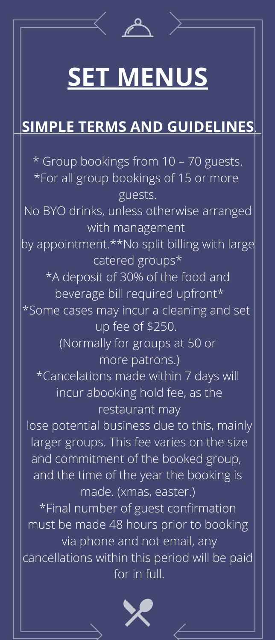

# **SET MENUS**

## **SIMPLE TERMS AND GUIDELINES**.

\* Group bookings from 10 – 70 guests. \*For all group bookings of 15 or more guests. No BYO drinks, unless otherwise arranged with management by appointment.\*\*No split billing with large catered groups\* \*A deposit of 30% of the food and beverage bill required upfront\* \*Some cases may incur a cleaning and set up fee of \$250. (Normally for groups at 50 or more patrons.) \*Cancelations made within 7 days will incur abooking hold fee, as the restaurant may lose potential business due to this, mainly larger groups. This fee varies on the size and commitment of the booked group, and the time of the year the booking is made. (xmas, easter.) \*Final number of guest confirmation must be made 48 hours prior to booking via phone and not email, any cancellations within this period will be paid for in full.

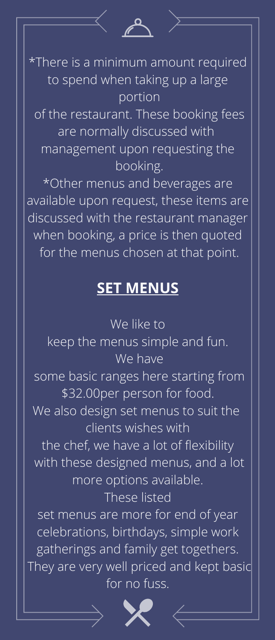

\*There is a minimum amount required to spend when taking up a large portion

of the restaurant. These booking fees are normally discussed with management upon requesting the booking.

\*Other menus and beverages are available upon request, these items are discussed with the restaurant manager when booking, a price is then quoted for the menus chosen at that point.

## **SET MENUS**

We like to

keep the menus simple and fun.

#### We have

some basic ranges here starting from \$32.00per person for food.

We also design set menus to suit the clients wishes with

the chef, we have a lot of flexibility with these designed menus, and a lot more options available.

#### These listed

set menus are more for end of year celebrations, birthdays, simple work gatherings and family get togethers. They are very well priced and kept basic for no fuss.

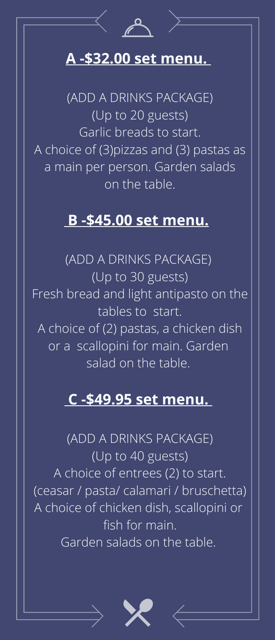

#### **A -\$32.00 set menu.**

(ADD A DRINKS PACKAGE) (Up to 20 guests) Garlic breads to start. A choice of (3)pizzas and (3) pastas as a main per person. Garden salads on the table.

#### **B -\$45.00 set menu.**

(ADD A DRINKS PACKAGE) (Up to 30 guests) Fresh bread and light antipasto on the tables to start. A choice of (2) pastas, a chicken dish or a scallopini for main. Garden salad on the table.

#### **C -\$49.95 set menu.**

(ADD A DRINKS PACKAGE) (Up to 40 guests) A choice of entrees (2) to start. (ceasar / pasta/ calamari / bruschetta) A choice of chicken dish, scallopini or fish for main. Garden salads on the table.

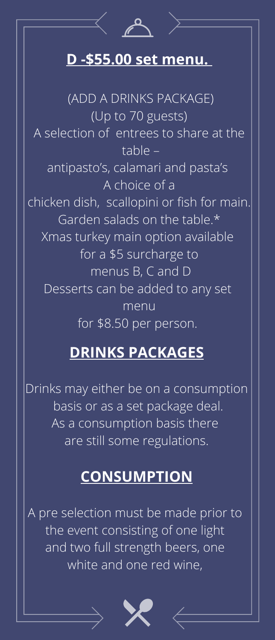#### **D -\$55.00 set menu.**

 $\mathbb{Z}$ 

(ADD A DRINKS PACKAGE) (Up to 70 guests) A selection of entrees to share at the  $\overline{\mathsf{table}}$  – antipasto's, calamari and pasta's A choice of a chicken dish, scallopini or fish for main. Garden salads on the table.\* Xmas turkey main option available for a \$5 surcharge to menus B, C and D Desserts can be added to any set menu for \$8.50 per person.

### **DRINKS PACKAGES**

Drinks may either be on a consumption basis or as a set package deal. As a consumption basis there are still some regulations.

#### **CONSUMPTION**

A pre selection must be made prior to the event consisting of one light and two full strength beers, one white and one red wine,